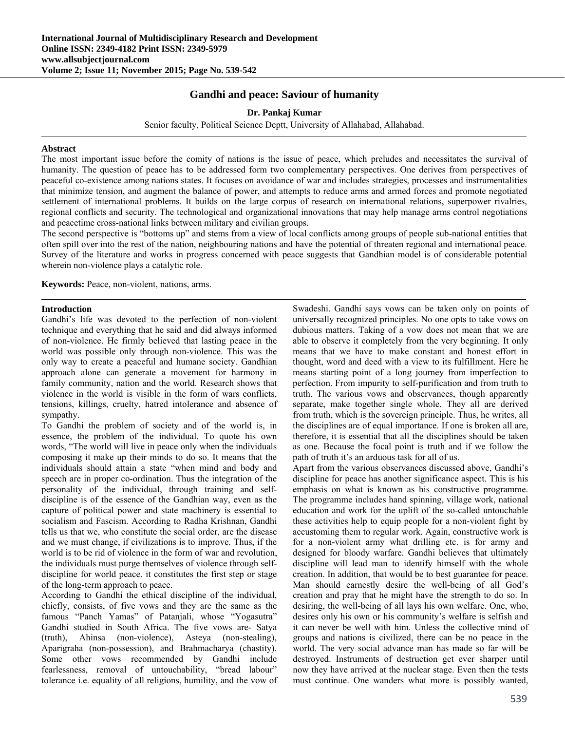# **Gandhi and peace: Saviour of humanity**

## **Dr. Pankaj Kumar**

Senior faculty, Political Science Deptt, University of Allahabad, Allahabad.

#### **Abstract**

The most important issue before the comity of nations is the issue of peace, which preludes and necessitates the survival of humanity. The question of peace has to be addressed form two complementary perspectives. One derives from perspectives of peaceful co-existence among nations states. It focuses on avoidance of war and includes strategies, processes and instrumentalities that minimize tension, and augment the balance of power, and attempts to reduce arms and armed forces and promote negotiated settlement of international problems. It builds on the large corpus of research on international relations, superpower rivalries, regional conflicts and security. The technological and organizational innovations that may help manage arms control negotiations and peacetime cross-national links between military and civilian groups.

The second perspective is "bottoms up" and stems from a view of local conflicts among groups of people sub-national entities that often spill over into the rest of the nation, neighbouring nations and have the potential of threaten regional and international peace. Survey of the literature and works in progress concerned with peace suggests that Gandhian model is of considerable potential wherein non-violence plays a catalytic role.

**Keywords:** Peace, non-violent, nations, arms.

#### **Introduction**

Gandhi's life was devoted to the perfection of non-violent technique and everything that he said and did always informed of non-violence. He firmly believed that lasting peace in the world was possible only through non-violence. This was the only way to create a peaceful and humane society. Gandhian approach alone can generate a movement for harmony in family community, nation and the world. Research shows that violence in the world is visible in the form of wars conflicts, tensions, killings, cruelty, hatred intolerance and absence of sympathy.

To Gandhi the problem of society and of the world is, in essence, the problem of the individual. To quote his own words, "The world will live in peace only when the individuals composing it make up their minds to do so. It means that the individuals should attain a state "when mind and body and speech are in proper co-ordination. Thus the integration of the personality of the individual, through training and selfdiscipline is of the essence of the Gandhian way, even as the capture of political power and state machinery is essential to socialism and Fascism. According to Radha Krishnan, Gandhi tells us that we, who constitute the social order, are the disease and we must change, if civilizations is to improve. Thus, if the world is to be rid of violence in the form of war and revolution, the individuals must purge themselves of violence through selfdiscipline for world peace. it constitutes the first step or stage of the long-term approach to peace.

According to Gandhi the ethical discipline of the individual, chiefly, consists, of five vows and they are the same as the famous "Panch Yamas" of Patanjali, whose "Yogasutra" Gandhi studied in South Africa. The five vows are- Satya (truth), Ahinsa (non-violence), Asteya (non-stealing), Aparigraha (non-possession), and Brahmacharya (chastity). Some other vows recommended by Gandhi include fearlessness, removal of untouchability, "bread labour" tolerance i.e. equality of all religions, humility, and the vow of

Swadeshi. Gandhi says vows can be taken only on points of universally recognized principles. No one opts to take vows on dubious matters. Taking of a vow does not mean that we are able to observe it completely from the very beginning. It only means that we have to make constant and honest effort in thought, word and deed with a view to its fulfillment. Here he means starting point of a long journey from imperfection to perfection. From impurity to self-purification and from truth to truth. The various vows and observances, though apparently separate, make together single whole. They all are derived from truth, which is the sovereign principle. Thus, he writes, all the disciplines are of equal importance. If one is broken all are, therefore, it is essential that all the disciplines should be taken as one. Because the focal point is truth and if we follow the path of truth it's an arduous task for all of us.

Apart from the various observances discussed above, Gandhi's discipline for peace has another significance aspect. This is his emphasis on what is known as his constructive programme. The programme includes hand spinning, village work, national education and work for the uplift of the so-called untouchable these activities help to equip people for a non-violent fight by accustoming them to regular work. Again, constructive work is for a non-violent army what drilling etc. is for army and designed for bloody warfare. Gandhi believes that ultimately discipline will lead man to identify himself with the whole creation. In addition, that would be to best guarantee for peace. Man should earnestly desire the well-being of all God's creation and pray that he might have the strength to do so. In desiring, the well-being of all lays his own welfare. One, who, desires only his own or his community's welfare is selfish and it can never be well with him. Unless the collective mind of groups and nations is civilized, there can be no peace in the world. The very social advance man has made so far will be destroyed. Instruments of destruction get ever sharper until now they have arrived at the nuclear stage. Even then the tests must continue. One wanders what more is possibly wanted,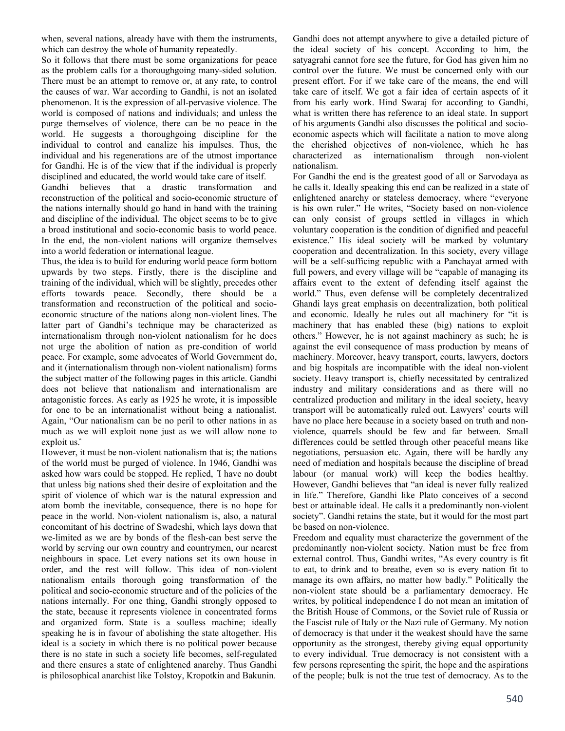when, several nations, already have with them the instruments, which can destroy the whole of humanity repeatedly.

So it follows that there must be some organizations for peace as the problem calls for a thoroughgoing many-sided solution. There must be an attempt to remove or, at any rate, to control the causes of war. War according to Gandhi, is not an isolated phenomenon. It is the expression of all-pervasive violence. The world is composed of nations and individuals; and unless the purge themselves of violence, there can be no peace in the world. He suggests a thoroughgoing discipline for the individual to control and canalize his impulses. Thus, the individual and his regenerations are of the utmost importance for Gandhi. He is of the view that if the individual is properly disciplined and educated, the world would take care of itself.

Gandhi believes that a drastic transformation and reconstruction of the political and socio-economic structure of the nations internally should go hand in hand with the training and discipline of the individual. The object seems to be to give a broad institutional and socio-economic basis to world peace. In the end, the non-violent nations will organize themselves into a world federation or international league.

Thus, the idea is to build for enduring world peace form bottom upwards by two steps. Firstly, there is the discipline and training of the individual, which will be slightly, precedes other efforts towards peace. Secondly, there should be a transformation and reconstruction of the political and socioeconomic structure of the nations along non-violent lines. The latter part of Gandhi's technique may be characterized as internationalism through non-violent nationalism for he does not urge the abolition of nation as pre-condition of world peace. For example, some advocates of World Government do, and it (internationalism through non-violent nationalism) forms the subject matter of the following pages in this article. Gandhi does not believe that nationalism and internationalism are antagonistic forces. As early as 1925 he wrote, it is impossible for one to be an internationalist without being a nationalist. Again, "Our nationalism can be no peril to other nations in as much as we will exploit none just as we will allow none to exploit us."

However, it must be non-violent nationalism that is; the nations of the world must be purged of violence. In 1946, Gandhi was asked how wars could be stopped. He replied, ̏I have no doubt that unless big nations shed their desire of exploitation and the spirit of violence of which war is the natural expression and atom bomb the inevitable, consequence, there is no hope for peace in the world. Non-violent nationalism is, also, a natural concomitant of his doctrine of Swadeshi, which lays down that we-limited as we are by bonds of the flesh-can best serve the world by serving our own country and countrymen, our nearest neighbours in space. Let every nations set its own house in order, and the rest will follow. This idea of non-violent nationalism entails thorough going transformation of the political and socio-economic structure and of the policies of the nations internally. For one thing, Gandhi strongly opposed to the state, because it represents violence in concentrated forms and organized form. State is a soulless machine; ideally speaking he is in favour of abolishing the state altogether. His ideal is a society in which there is no political power because there is no state in such a society life becomes, self-regulated and there ensures a state of enlightened anarchy. Thus Gandhi is philosophical anarchist like Tolstoy, Kropotkin and Bakunin.

Gandhi does not attempt anywhere to give a detailed picture of the ideal society of his concept. According to him, the satyagrahi cannot fore see the future, for God has given him no control over the future. We must be concerned only with our present effort. For if we take care of the means, the end will take care of itself. We got a fair idea of certain aspects of it from his early work. Hind Swaraj for according to Gandhi, what is written there has reference to an ideal state. In support of his arguments Gandhi also discusses the political and socioeconomic aspects which will facilitate a nation to move along the cherished objectives of non-violence, which he has characterized as internationalism through non-violent nationalism.

For Gandhi the end is the greatest good of all or Sarvodaya as he calls it. Ideally speaking this end can be realized in a state of enlightened anarchy or stateless democracy, where "everyone is his own ruler." He writes, "Society based on non-violence can only consist of groups settled in villages in which voluntary cooperation is the condition of dignified and peaceful existence." His ideal society will be marked by voluntary cooperation and decentralization. In this society, every village will be a self-sufficing republic with a Panchayat armed with full powers, and every village will be "capable of managing its affairs event to the extent of defending itself against the world." Thus, even defense will be completely decentralized Ghandi lays great emphasis on decentralization, both political and economic. Ideally he rules out all machinery for "it is machinery that has enabled these (big) nations to exploit others." However, he is not against machinery as such; he is against the evil consequence of mass production by means of machinery. Moreover, heavy transport, courts, lawyers, doctors and big hospitals are incompatible with the ideal non-violent society. Heavy transport is, chiefly necessitated by centralized industry and military considerations and as there will no centralized production and military in the ideal society, heavy transport will be automatically ruled out. Lawyers' courts will have no place here because in a society based on truth and nonviolence, quarrels should be few and far between. Small differences could be settled through other peaceful means like negotiations, persuasion etc. Again, there will be hardly any need of mediation and hospitals because the discipline of bread labour (or manual work) will keep the bodies healthy. However, Gandhi believes that "an ideal is never fully realized in life." Therefore, Gandhi like Plato conceives of a second best or attainable ideal. He calls it a predominantly non-violent society". Gandhi retains the state, but it would for the most part be based on non-violence.

Freedom and equality must characterize the government of the predominantly non-violent society. Nation must be free from external control. Thus, Gandhi writes, "As every country is fit to eat, to drink and to breathe, even so is every nation fit to manage its own affairs, no matter how badly." Politically the non-violent state should be a parliamentary democracy. He writes, by political independence I do not mean an imitation of the British House of Commons, or the Soviet rule of Russia or the Fascist rule of Italy or the Nazi rule of Germany. My notion of democracy is that under it the weakest should have the same opportunity as the strongest, thereby giving equal opportunity to every individual. True democracy is not consistent with a few persons representing the spirit, the hope and the aspirations of the people; bulk is not the true test of democracy. As to the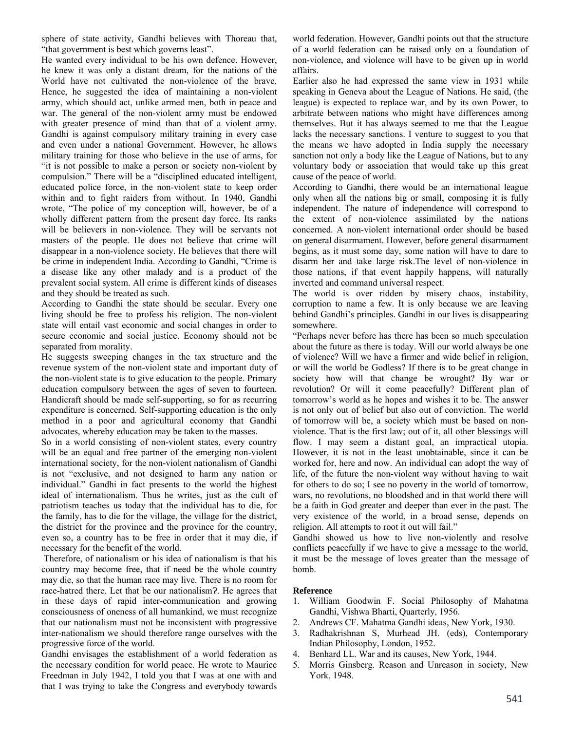sphere of state activity, Gandhi believes with Thoreau that, "that government is best which governs least".

He wanted every individual to be his own defence. However, he knew it was only a distant dream, for the nations of the World have not cultivated the non-violence of the brave. Hence, he suggested the idea of maintaining a non-violent army, which should act, unlike armed men, both in peace and war. The general of the non-violent army must be endowed with greater presence of mind than that of a violent army. Gandhi is against compulsory military training in every case and even under a national Government. However, he allows military training for those who believe in the use of arms, for "it is not possible to make a person or society non-violent by compulsion." There will be a "disciplined educated intelligent, educated police force, in the non-violent state to keep order within and to fight raiders from without. In 1940, Gandhi wrote, "The police of my conception will, however, be of a wholly different pattern from the present day force. Its ranks will be believers in non-violence. They will be servants not masters of the people. He does not believe that crime will disappear in a non-violence society. He believes that there will be crime in independent India. According to Gandhi, "Crime is a disease like any other malady and is a product of the prevalent social system. All crime is different kinds of diseases and they should be treated as such.

According to Gandhi the state should be secular. Every one living should be free to profess his religion. The non-violent state will entail vast economic and social changes in order to secure economic and social justice. Economy should not be separated from morality.

He suggests sweeping changes in the tax structure and the revenue system of the non-violent state and important duty of the non-violent state is to give education to the people. Primary education compulsory between the ages of seven to fourteen. Handicraft should be made self-supporting, so for as recurring expenditure is concerned. Self-supporting education is the only method in a poor and agricultural economy that Gandhi advocates, whereby education may be taken to the masses.

So in a world consisting of non-violent states, every country will be an equal and free partner of the emerging non-violent international society, for the non-violent nationalism of Gandhi is not "exclusive, and not designed to harm any nation or individual." Gandhi in fact presents to the world the highest ideal of internationalism. Thus he writes, just as the cult of patriotism teaches us today that the individual has to die, for the family, has to die for the village, the village for the district, the district for the province and the province for the country, even so, a country has to be free in order that it may die, if necessary for the benefit of the world.

 Therefore, of nationalism or his idea of nationalism is that his country may become free, that if need be the whole country may die, so that the human race may live. There is no room for race-hatred there. Let that be our nationalism?. He agrees that in these days of rapid inter-communication and growing consciousness of oneness of all humankind, we must recognize that our nationalism must not be inconsistent with progressive inter-nationalism we should therefore range ourselves with the progressive force of the world.

Gandhi envisages the establishment of a world federation as the necessary condition for world peace. He wrote to Maurice Freedman in July 1942, I told you that I was at one with and that I was trying to take the Congress and everybody towards world federation. However, Gandhi points out that the structure of a world federation can be raised only on a foundation of non-violence, and violence will have to be given up in world affairs.

Earlier also he had expressed the same view in 1931 while speaking in Geneva about the League of Nations. He said, (the league) is expected to replace war, and by its own Power, to arbitrate between nations who might have differences among themselves. But it has always seemed to me that the League lacks the necessary sanctions. I venture to suggest to you that the means we have adopted in India supply the necessary sanction not only a body like the League of Nations, but to any voluntary body or association that would take up this great cause of the peace of world.

According to Gandhi, there would be an international league only when all the nations big or small, composing it is fully independent. The nature of independence will correspond to the extent of non-violence assimilated by the nations concerned. A non-violent international order should be based on general disarmament. However, before general disarmament begins, as it must some day, some nation will have to dare to disarm her and take large risk.The level of non-violence in those nations, if that event happily happens, will naturally inverted and command universal respect.

The world is over ridden by misery chaos, instability, corruption to name a few. It is only because we are leaving behind Gandhi's principles. Gandhi in our lives is disappearing somewhere.

"Perhaps never before has there has been so much speculation about the future as there is today. Will our world always be one of violence? Will we have a firmer and wide belief in religion, or will the world be Godless? If there is to be great change in society how will that change be wrought? By war or revolution? Or will it come peacefully? Different plan of tomorrow's world as he hopes and wishes it to be. The answer is not only out of belief but also out of conviction. The world of tomorrow will be, a society which must be based on nonviolence. That is the first law; out of it, all other blessings will flow. I may seem a distant goal, an impractical utopia. However, it is not in the least unobtainable, since it can be worked for, here and now. An individual can adopt the way of life, of the future the non-violent way without having to wait for others to do so; I see no poverty in the world of tomorrow, wars, no revolutions, no bloodshed and in that world there will be a faith in God greater and deeper than ever in the past. The very existence of the world, in a broad sense, depends on religion. All attempts to root it out will fail."

Gandhi showed us how to live non-violently and resolve conflicts peacefully if we have to give a message to the world, it must be the message of loves greater than the message of bomb.

### **Reference**

- 1. William Goodwin F. Social Philosophy of Mahatma Gandhi, Vishwa Bharti, Quarterly, 1956.
- 2. Andrews CF. Mahatma Gandhi ideas, New York, 1930.
- 3. Radhakrishnan S, Murhead JH. (eds), Contemporary Indian Philosophy, London, 1952.
- 4. Benhard LL. War and its causes, New York, 1944.
- 5. Morris Ginsberg. Reason and Unreason in society, New York, 1948.